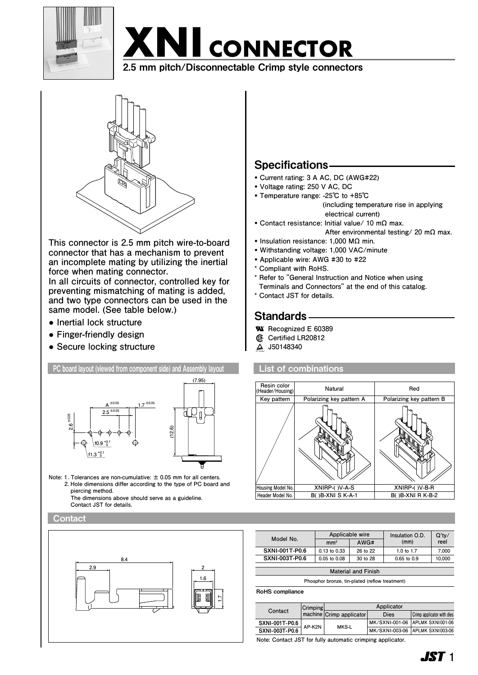

# **XNI CONNECTOR** 2.5 mm pitch/Disconnectable Crimp style connectors



**This connector is 2.5 mm pitch wire-to-board connector that has a mechanism to prevent an incomplete mating by utilizing the inertial force when mating connector.**

**In all circuits of connector, controlled key for preventing mismatching of mating is added, and two type connectors can be used in the same model. (See table below.)**

- **● Inertial lock structure**
- **● Finger-friendly design**
- **● Secure locking structure**



- • **Current rating: 3 A AC, DC (AWG#22)**
- • **Voltage rating: 250 V AC, DC**
- • **Temperature range: -25℃ to +85℃ (including temperature rise in applying**

 **electrical current)**

- • **Contact resistance: Initial value/ 10 mΩ max. After environmental testing/ 20 mΩ max.**
- • **Insulation resistance: 1,000 MΩ min.**
- • **Withstanding voltage: 1,000 VAC/minute**
- • **Applicable wire: AWG #30 to #22**
- **\* Compliant with RoHS. Resin color Natural Red**
- \* Refer to "General Instruction and Notice when using **Terminals and Connectors" at the end of this catalog.**
- **\* Contact JST for details.**

# Standards

- **Recognized E 60389 ® ® ®**
	- **Certified LR20812**
	- **J50148340 ®**

**Header Model No.**

#### **B( )B-XNI S K-A-1 List of combinations**



| Model No.             | Applicable wire |          | Insulation O.D. | $Q'$ ty/ |
|-----------------------|-----------------|----------|-----------------|----------|
|                       | mm <sup>2</sup> | AWG#     | (mm)            | reel     |
| <b>SXNI-001T-P0.6</b> | 0.13 to 0.33    | 26 to 22 | 1.0 to 1.7      | 7.000    |
| <b>SXNI-003T-P0.6</b> | 0.05 to 0.08    | 30 to 28 | $0.65$ to $0.9$ | 10,000   |
|                       |                 |          |                 |          |

**Phosphor bronze, tin-plated (reflow treatment)**

RoHS compliance

|                       | Crimping | Applicator               |                                 |                            |
|-----------------------|----------|--------------------------|---------------------------------|----------------------------|
| Contact               |          | machine Crimp applicator | Dies                            | Crimp applicator with dies |
| SXNI-001T-P0.6        | AP-K2N   | MKS-L                    | MK/SXNI-001-06 APLMK SXNI001-06 |                            |
| <b>SXNI-003T-P0.6</b> |          |                          | MK/SXNI-003-06 APLMK SXNI003-06 |                            |

**Note: Contact JST for fully automatic crimping applicator.**

**1ST** 1

**B( )B-XNI R K-B-2**



**Note: 1. Tolerances are non-cumulative: ± 0.05 mm for all centers. 2. Hole dimensions differ according to the type of PC board and piercing method. The dimensions above should serve as a guideline.** 

 **Contact JST for details.**

**Contact** 

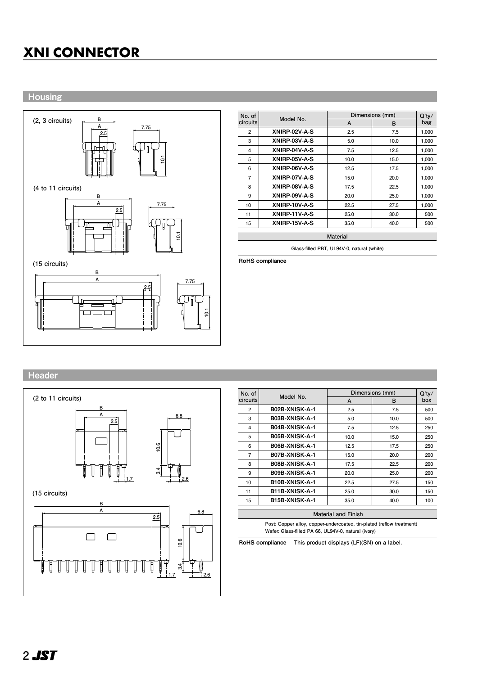# **XNI CONNECTOR XNI CONNECTOR**

**Housing** 



| No. of<br><b>circuits</b> | Model No.     | Dimensions (mm) | Q'tv/ |       |  |
|---------------------------|---------------|-----------------|-------|-------|--|
|                           |               | A               | в     | bag   |  |
| 2                         | XNIRP-02V-A-S | 2.5             | 7.5   | 1.000 |  |
| 3                         | XNIRP-03V-A-S | 5.0             | 10.0  | 1,000 |  |
| 4                         | XNIRP-04V-A-S | 7.5             | 12.5  | 1,000 |  |
| 5                         | XNIRP-05V-A-S | 10.0            | 15.0  | 1,000 |  |
| 6                         | XNIRP-06V-A-S | 12.5            | 17.5  | 1,000 |  |
| 7                         | XNIRP-07V-A-S | 15.0            | 20.0  | 1,000 |  |
| 8                         | XNIRP-08V-A-S | 17.5            | 22.5  | 1,000 |  |
| 9                         | XNIRP-09V-A-S | 20.0            | 25.0  | 1.000 |  |
| 10                        | XNIRP-10V-A-S | 22.5            | 27.5  | 1,000 |  |
| 11                        | XNIRP-11V-A-S | 25.0            | 30.0  | 500   |  |
| 15                        | XNIRP-15V-A-S | 35.0            | 40.0  | 500   |  |
| $M = 1 - 1 - 1$           |               |                 |       |       |  |

**Material**

**Glass-filled PBT, UL94V-0, natural (white)**

RoHS compliance

## **Header**



| No. of                               | Model No.             | Dimensions (mm) | Q'tv/ |     |  |
|--------------------------------------|-----------------------|-----------------|-------|-----|--|
| circuits                             |                       | A               | в     | box |  |
| 2                                    | B02B-XNISK-A-1        | 2.5             | 7.5   | 500 |  |
| 3                                    | B03B-XNISK-A-1        | 5.0             | 10.0  | 500 |  |
| 4                                    | <b>B04B-XNISK-A-1</b> | 7.5             | 12.5  | 250 |  |
| 5                                    | B05B-XNISK-A-1        | 10.0            | 15.0  | 250 |  |
| 6                                    | <b>B06B-XNISK-A-1</b> | 12.5            | 17.5  | 250 |  |
| 7                                    | <b>B07B-XNISK-A-1</b> | 15.0            | 20.0  | 200 |  |
| 8                                    | <b>B08B-XNISK-A-1</b> | 17.5            | 22.5  | 200 |  |
| 9                                    | B09B-XNISK-A-1        | 20.0            | 25.0  | 200 |  |
| 10                                   | <b>B10B-XNISK-A-1</b> | 22.5            | 27.5  | 150 |  |
| 11                                   | B11B-XNISK-A-1        | 25.0            | 30.0  | 150 |  |
| 15                                   | <b>B15B-XNISK-A-1</b> | 35.0            | 40.0  | 100 |  |
| والمنجنتا المحرور المنصوبة والمرادية |                       |                 |       |     |  |

**Material and Finish Post: Copper alloy, copper-undercoated, tin-plated (reflow treatment) Wafer: Glass-filled PA 66, UL94V-0, natural (ivory)**

RoHS compliance **This product displays (LF)(SN) on a label.**